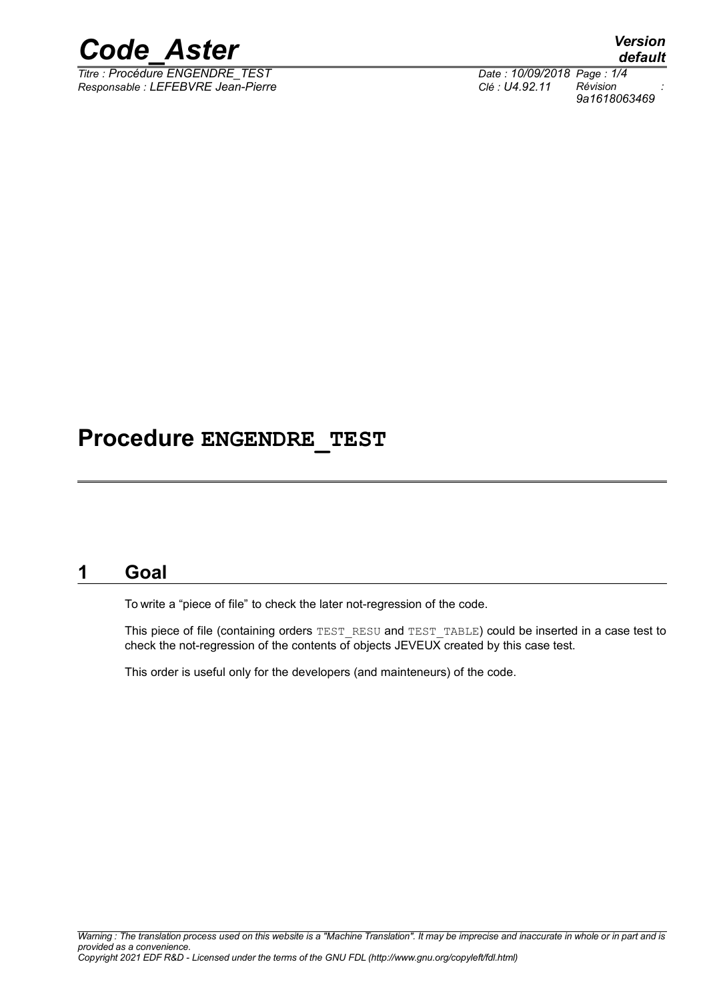

*Titre : Procédure ENGENDRE\_TEST Date : 10/09/2018 Page : 1/4 Responsable : LEFEBVRE Jean-Pierre Clé : U4.92.11 Révision :*

*default 9a1618063469*

#### **Procedure ENGENDRE\_TEST**

#### **1 Goal**

To write a "piece of file" to check the later not-regression of the code.

This piece of file (containing orders TEST\_RESU and TEST\_TABLE) could be inserted in a case test to check the not-regression of the contents of objects JEVEUX created by this case test.

This order is useful only for the developers (and mainteneurs) of the code.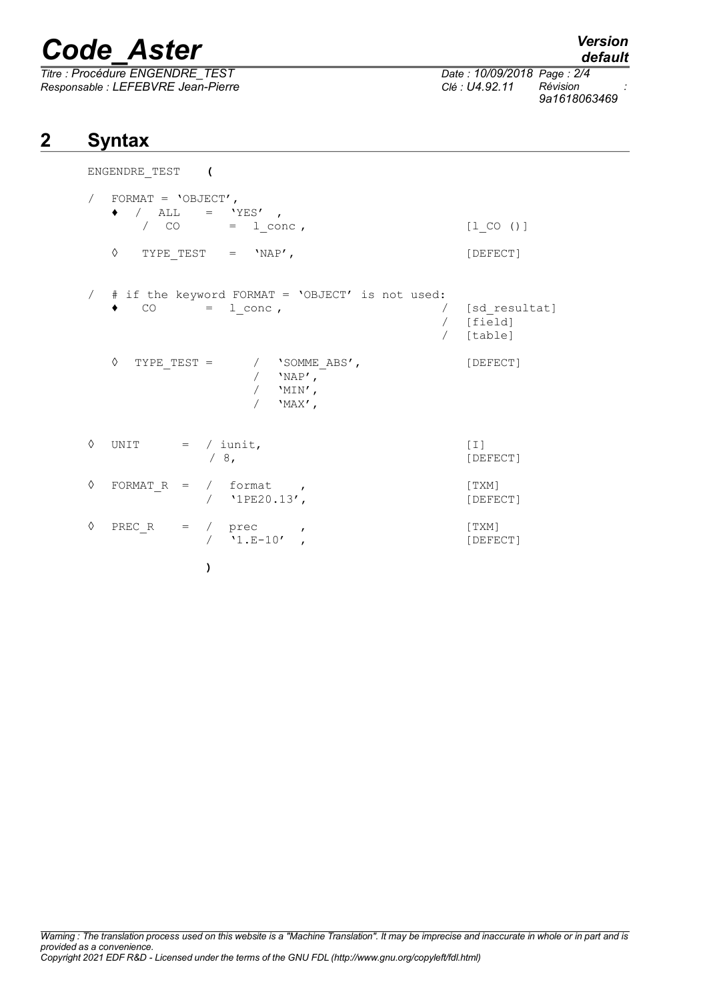# *Code\_Aster Version*

*Titre : Procédure ENGENDRE\_TEST Date : 10/09/2018 Page : 2/4 Responsable : LEFEBVRE Jean-Pierre Clé : U4.92.11 Révision :*

ENGENDRE\_TEST **(**

## **2 Syntax**

|   | FORMAT = $'$ OBJECT',<br>$\bullet$ / ALL = 'YES',<br>$\prime$ CO = $1$ _conc, | $[1 CO ()]$                               |
|---|-------------------------------------------------------------------------------|-------------------------------------------|
|   | ♦<br>TYPE TEST $=$ 'NAP',                                                     | [DEFECT]                                  |
|   | # if the keyword FORMAT = 'OBJECT' is not used:<br>CO<br>$=$ 1 conc,          | / [sd resultat]<br>/ [field]<br>/ [table] |
|   | ♦<br>/ 'SOMME ABS',<br>TYPE TEST =<br>/ $'NP'$ ,<br>/ $'MIN'$ ,<br>$'MAX'$ ,  | [DEFECT]                                  |
| ♦ | UNIT $=$ / iunit,<br>/8,                                                      | $[1]$<br>[DEFECT]                         |
| ♦ | FORMAT $R = /$ format,<br>$/$ '1PE20.13',                                     | [TXM]<br>[DEFECT]                         |
| ♦ | PREC R = $/$ prec ,<br>$/$ '1.E-10',                                          | $\lceil$ TXM]<br>[DEFECT]                 |
|   | )                                                                             |                                           |

```
default
```
*9a1618063469*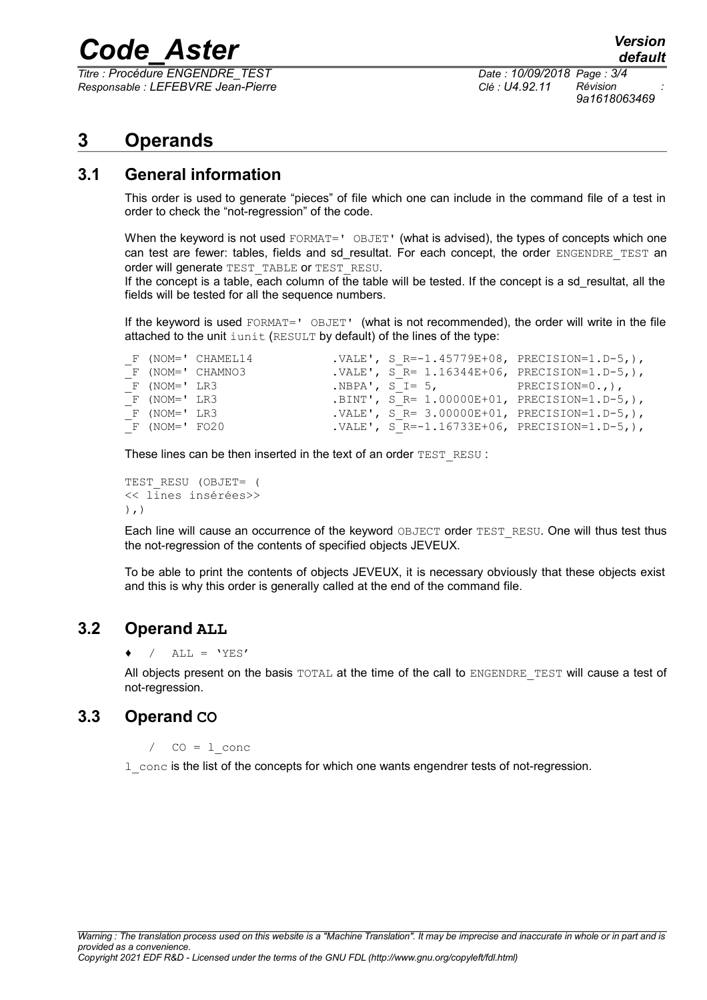### *Code\_Aster Version*

*Titre : Procédure ENGENDRE\_TEST Date : 10/09/2018 Page : 3/4 Responsable : LEFEBVRE Jean-Pierre Clé : U4.92.11 Révision :*

*9a1618063469*

#### **3 Operands**

#### **3.1 General information**

This order is used to generate "pieces" of file which one can include in the command file of a test in order to check the "not-regression" of the code.

When the keyword is not used FORMAT=' OBJET' (what is advised), the types of concepts which one can test are fewer: tables, fields and sd resultat. For each concept, the order ENGENDRE TEST an order will generate TEST\_TABLE or TEST\_RESU.

If the concept is a table, each column of the table will be tested. If the concept is a sd\_resultat, all the fields will be tested for all the sequence numbers.

If the keyword is used FORMAT=' OBJET' (what is not recommended), the order will write in the file attached to the unit iunit (RESULT by default) of the lines of the type:

|                  | F (NOM=' CHAMEL14 |                               | .VALE', S R=-1.45779E+08, PRECISION=1.D-5, ),    |
|------------------|-------------------|-------------------------------|--------------------------------------------------|
|                  | F (NOM=' CHAMNO3  |                               | . VALE', $S$ R= 1.16344E+06, PRECISION=1.D-5, ), |
| F (NOM=' LR3     |                   | $NBPA', S = 5, PRECISION=0.,$ |                                                  |
| F (NOM=' LR3     |                   |                               | .BINT', S R= $1.00000E+01$ , PRECISION=1.D-5,),  |
| F (NOM=' LR3     |                   |                               | .VALE', S R= $3.00000E+01$ , PRECISION=1.D-5, ), |
| $F (NOM= ' F020$ |                   |                               | .VALE', S R=-1.16733E+06, PRECISION=1.D-5, ),    |

These lines can be then inserted in the text of an order TEST\_RESU :

```
TEST_RESU (OBJET= (
<< lines insérées>>
),)
```
Each line will cause an occurrence of the keyword OBJECT order TEST\_RESU. One will thus test thus the not-regression of the contents of specified objects JEVEUX.

To be able to print the contents of objects JEVEUX, it is necessary obviously that these objects exist and this is why this order is generally called at the end of the command file.

#### **3.2 Operand ALL**

 $/$  ALL = 'YES'

All objects present on the basis TOTAL at the time of the call to ENGENDRE TEST will cause a test of not-regression.

#### **3.3 Operand CO**

 $/$  CO = 1 conc

l\_conc is the list of the concepts for which one wants engendrer tests of not-regression.